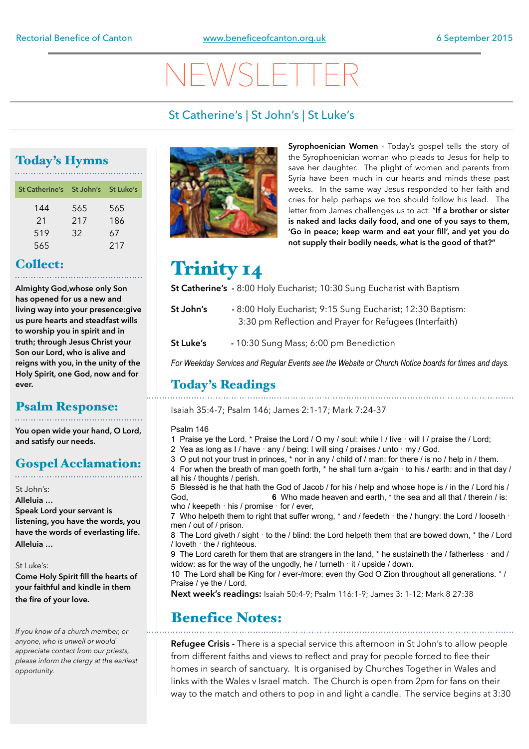# NEWSLETTER

#### St Catherine's | St John's | St Luke's

### Today's Hymns

| St Catherine's St John's St Luke's |     |     |
|------------------------------------|-----|-----|
| 144                                | 565 | 565 |
| 21                                 | 217 | 186 |
| 519                                | 32  | 67  |
| 565                                |     | 217 |

#### Collect:

**Almighty God,whose only Son has opened for us a new and living way into your presence:give us pure hearts and steadfast wills to worship you in spirit and in truth; through Jesus Christ your Son our Lord, who is alive and reigns with you, in the unity of the Holy Spirit, one God, now and for ever.**

#### Psalm Response:

**You open wide your hand, O Lord, and satisfy our needs.** 

#### Gospel Acclamation:

St John's:

**Alleluia …** 

**Speak Lord your servant is listening, you have the words, you have the words of everlasting life. Alleluia …** 

#### St Luke's:

**Come Holy Spirit fill the hearts of your faithful and kindle in them the fire of your love.** 

*If you know of a church member, or anyone, who is unwell or would appreciate contact from our priests, please inform the clergy at the earliest opportunity.* 



**Syrophoenician Women** - Today's gospel tells the story of the Syrophoenician woman who pleads to Jesus for help to save her daughter. The plight of women and parents from Syria have been much in our hearts and minds these past weeks. In the same way Jesus responded to her faith and cries for help perhaps we too should follow his lead. The letter from James challenges us to act: "**If a brother or sister is naked and lacks daily food, and one of you says to them, 'Go in peace; keep warm and eat your fill', and yet you do not supply their bodily needs, what is the good of that?"**

# Trinity 14

**St Catherine's -** 8:00 Holy Eucharist; 10:30 Sung Eucharist with Baptism

- **St John's** 8:00 Holy Eucharist; 9:15 Sung Eucharist; 12:30 Baptism: 3:30 pm Reflection and Prayer for Refugees (Interfaith)
- **St Luke's** 10:30 Sung Mass; 6:00 pm Benediction

*For Weekday Services and Regular Events see the Website or Church Notice boards for times and days.*

#### Today's Readings

Isaiah 35:4-7; Psalm 146; James 2:1-17; Mark 7:24-37

#### Psalm 146

- 1 Praise ye the Lord. \* Praise the Lord / O my / soul: while I / live · will I / praise the / Lord;
- 2 Yea as long as  $1/$  have  $\cdot$  any  $/$  being: I will sing  $/$  praises  $/$  unto  $\cdot$  my  $/$  God.
- 3 O put not your trust in princes, \* nor in any / child of / man: for there / is no / help in / them.
- 4 For when the breath of man goeth forth, \* he shall turn a-/gain  $\cdot$  to his / earth: and in that day / all his / thoughts / perish.

5 Blessèd is he that hath the God of Jacob / for his / help and whose hope is / in the / Lord his / God, **6** Who made heaven and earth,  $*$  the sea and all that / therein / is: who / keepeth  $\cdot$  his / promise  $\cdot$  for / ever,

7 Who helpeth them to right that suffer wrong,  $*$  and / feedeth  $\cdot$  the / hungry: the Lord / looseth  $\cdot$ men / out of / prison.

8 The Lord giveth / sight  $\cdot$  to the / blind: the Lord helpeth them that are bowed down, \* the / Lord / loveth · the / righteous.

9 The Lord careth for them that are strangers in the land,  $*$  he sustaineth the / fatherless  $\cdot$  and / widow: as for the way of the ungodly, he / turneth  $\cdot$  it / upside / down.

10 The Lord shall be King for / ever-/more: even thy God O Zion throughout all generations. \* / Praise / ye the / Lord.

**Next week's readings:** Isaiah 50:4-9; Psalm 116:1-9; James 3: 1-12; Mark 8 27:38

### Benefice Notes:

**Refugee Crisis -** There is a special service this afternoon in St John's to allow people from different faiths and views to reflect and pray for people forced to flee their homes in search of sanctuary. It is organised by Churches Together in Wales and links with the Wales v Israel match. The Church is open from 2pm for fans on their way to the match and others to pop in and light a candle. The service begins at 3:30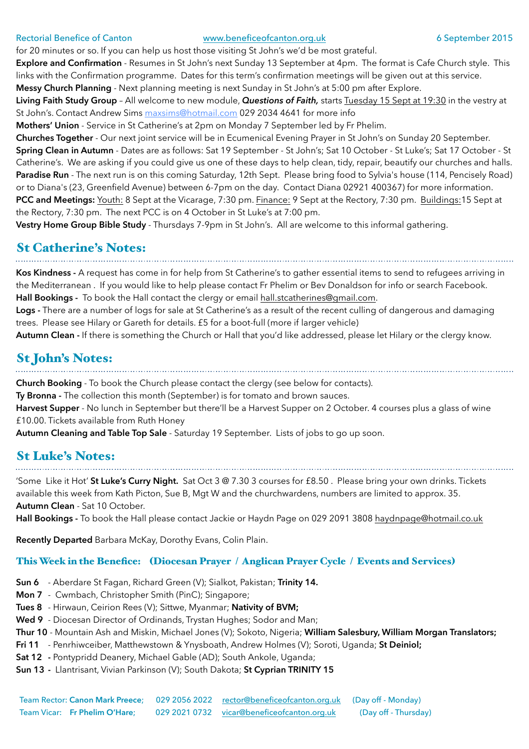#### Rectorial Benefice of Canton **[www.beneficeofcanton.org.uk](http://www.beneficeofcanton.org.uk)** 6 September 2015

for 20 minutes or so. If you can help us host those visiting St John's we'd be most grateful.

**Explore and Confirmation** - Resumes in St John's next Sunday 13 September at 4pm. The format is Cafe Church style. This links with the Confirmation programme. Dates for this term's confirmation meetings will be given out at this service. **Messy Church Planning** - Next planning meeting is next Sunday in St John's at 5:00 pm after Explore.

**Living Faith Study Group** – All welcome to new module, *Questions of Faith,* starts Tuesday 15 Sept at 19:30 in the vestry at St John's. Contact Andrew Sims [maxsims@hotmail.com](mailto:maxsims@hotmail.com) 029 2034 4641 for more info

**Mothers' Union** - Service in St Catherine's at 2pm on Monday 7 September led by Fr Phelim.

**Churches Together** - Our next joint service will be in Ecumenical Evening Prayer in St John's on Sunday 20 September. **Spring Clean in Autumn** - Dates are as follows: Sat 19 September - St John's; Sat 10 October - St Luke's; Sat 17 October - St Catherine's. We are asking if you could give us one of these days to help clean, tidy, repair, beautify our churches and halls. Paradise Run - The next run is on this coming Saturday, 12th Sept. Please bring food to Sylvia's house (114, Pencisely Road) or to Diana's (23, Greenfield Avenue) between 6-7pm on the day. Contact Diana 02921 400367) for more information. **PCC and Meetings:** Youth: 8 Sept at the Vicarage, 7:30 pm. Finance: 9 Sept at the Rectory, 7:30 pm. Buildings:15 Sept at the Rectory, 7:30 pm. The next PCC is on 4 October in St Luke's at 7:00 pm.

**Vestry Home Group Bible Study** - Thursdays 7-9pm in St John's. All are welcome to this informal gathering.

#### St Catherine's Notes:

**Kos Kindness -** A request has come in for help from St Catherine's to gather essential items to send to refugees arriving in the Mediterranean . If you would like to help please contact Fr Phelim or Bev Donaldson for info or search Facebook. **Hall Bookings -** To book the Hall contact the clergy or email [hall.stcatherines@gmail.com](mailto:hall.stcatherines@gmail.com).

**Logs -** There are a number of logs for sale at St Catherine's as a result of the recent culling of dangerous and damaging trees. Please see Hilary or Gareth for details. £5 for a boot-full (more if larger vehicle)

**Autumn Clean -** If there is something the Church or Hall that you'd like addressed, please let Hilary or the clergy know.

# St John's Notes:

**Church Booking** - To book the Church please contact the clergy (see below for contacts).

**Ty Bronna -** The collection this month (September) is for tomato and brown sauces.

**Harvest Supper** - No lunch in September but there'll be a Harvest Supper on 2 October. 4 courses plus a glass of wine £10.00. Tickets available from Ruth Honey

**Autumn Cleaning and Table Top Sale** - Saturday 19 September. Lists of jobs to go up soon.

#### St Luke's Notes:

'Some Like it Hot' **St Luke's Curry Night.** Sat Oct 3 @ 7.30 3 courses for £8.50 . Please bring your own drinks. Tickets available this week from Kath Picton, Sue B, Mgt W and the churchwardens, numbers are limited to approx. 35. **Autumn Clean** - Sat 10 October.

Hall Bookings - To book the Hall please contact Jackie or Haydn Page on 029 2091 3808 [haydnpage@hotmail.co.uk](mailto:haydnpage@hotmail.co.uk)

**Recently Departed** Barbara McKay, Dorothy Evans, Colin Plain.

#### This Week in the Benefice: (Diocesan Prayer / Anglican Prayer Cycle / Events and Services)

- **Sun 6** Aberdare St Fagan, Richard Green (V); Sialkot, Pakistan; **Trinity 14.**
- **Mon 7**  Cwmbach, Christopher Smith (PinC); Singapore;
- **Tues 8** Hirwaun, Ceirion Rees (V); Sittwe, Myanmar; **Nativity of BVM;**
- **Wed 9** Diocesan Director of Ordinands, Trystan Hughes; Sodor and Man;
- **Thur 10** Mountain Ash and Miskin, Michael Jones (V); Sokoto, Nigeria; **William Salesbury, William Morgan Translators;**
- **Fri 11**  Penrhiwceiber, Matthewstown & Ynysboath, Andrew Holmes (V); Soroti, Uganda; **St Deiniol;**
- **Sat 12** Pontypridd Deanery, Michael Gable (AD); South Ankole, Uganda;
- **Sun 13** Llantrisant, Vivian Parkinson (V); South Dakota; **St Cyprian TRINITY 15**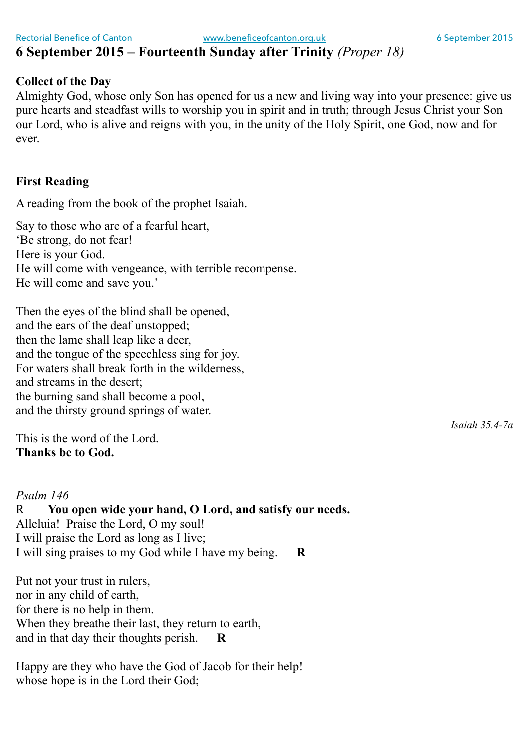### **6 September 2015 – Fourteenth Sunday after Trinity** *(Proper 18)*

#### **Collect of the Day**

Almighty God, whose only Son has opened for us a new and living way into your presence: give us pure hearts and steadfast wills to worship you in spirit and in truth; through Jesus Christ your Son our Lord, who is alive and reigns with you, in the unity of the Holy Spirit, one God, now and for ever.

#### **First Reading**

A reading from the book of the prophet Isaiah.

Say to those who are of a fearful heart, 'Be strong, do not fear! Here is your God. He will come with vengeance, with terrible recompense. He will come and save you.'

Then the eyes of the blind shall be opened, and the ears of the deaf unstopped; then the lame shall leap like a deer, and the tongue of the speechless sing for joy. For waters shall break forth in the wilderness, and streams in the desert; the burning sand shall become a pool, and the thirsty ground springs of water.

This is the word of the Lord. **Thanks be to God.**

#### *Psalm 146* R **You open wide your hand, O Lord, and satisfy our needs.** Alleluia! Praise the Lord, O my soul! I will praise the Lord as long as I live;

I will sing praises to my God while I have my being. **R**

Put not your trust in rulers, nor in any child of earth, for there is no help in them. When they breathe their last, they return to earth, and in that day their thoughts perish. **R**

Happy are they who have the God of Jacob for their help! whose hope is in the Lord their God;

*Isaiah 35.4-7a*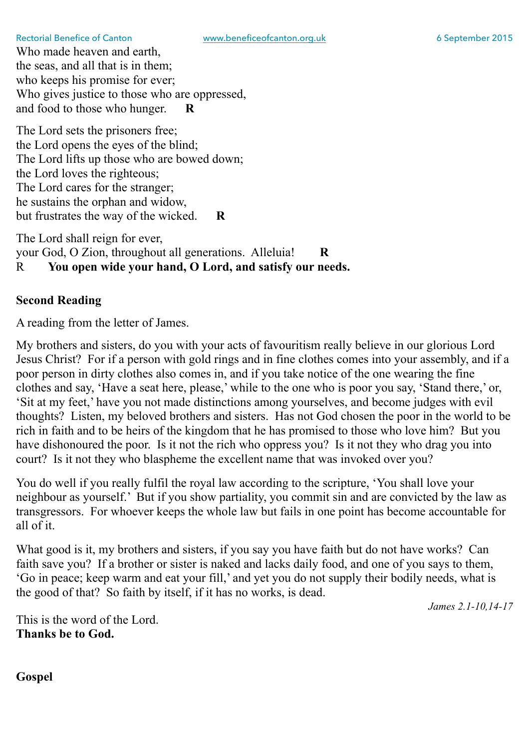Who made heaven and earth, the seas, and all that is in them; who keeps his promise for ever; Who gives justice to those who are oppressed, and food to those who hunger. **R**

The Lord sets the prisoners free; the Lord opens the eyes of the blind; The Lord lifts up those who are bowed down; the Lord loves the righteous; The Lord cares for the stranger; he sustains the orphan and widow, but frustrates the way of the wicked. **R**

The Lord shall reign for ever, your God, O Zion, throughout all generations. Alleluia! **R** R **You open wide your hand, O Lord, and satisfy our needs.**

#### **Second Reading**

A reading from the letter of James.

My brothers and sisters, do you with your acts of favouritism really believe in our glorious Lord Jesus Christ? For if a person with gold rings and in fine clothes comes into your assembly, and if a poor person in dirty clothes also comes in, and if you take notice of the one wearing the fine clothes and say, 'Have a seat here, please,' while to the one who is poor you say, 'Stand there,' or, 'Sit at my feet,' have you not made distinctions among yourselves, and become judges with evil thoughts? Listen, my beloved brothers and sisters. Has not God chosen the poor in the world to be rich in faith and to be heirs of the kingdom that he has promised to those who love him? But you have dishonoured the poor. Is it not the rich who oppress you? Is it not they who drag you into court? Is it not they who blaspheme the excellent name that was invoked over you?

You do well if you really fulfil the royal law according to the scripture, 'You shall love your neighbour as yourself.' But if you show partiality, you commit sin and are convicted by the law as transgressors. For whoever keeps the whole law but fails in one point has become accountable for all of it.

What good is it, my brothers and sisters, if you say you have faith but do not have works? Can faith save you? If a brother or sister is naked and lacks daily food, and one of you says to them, 'Go in peace; keep warm and eat your fill,' and yet you do not supply their bodily needs, what is the good of that? So faith by itself, if it has no works, is dead.

*James 2.1-10,14-17*

This is the word of the Lord. **Thanks be to God.**

**Gospel**